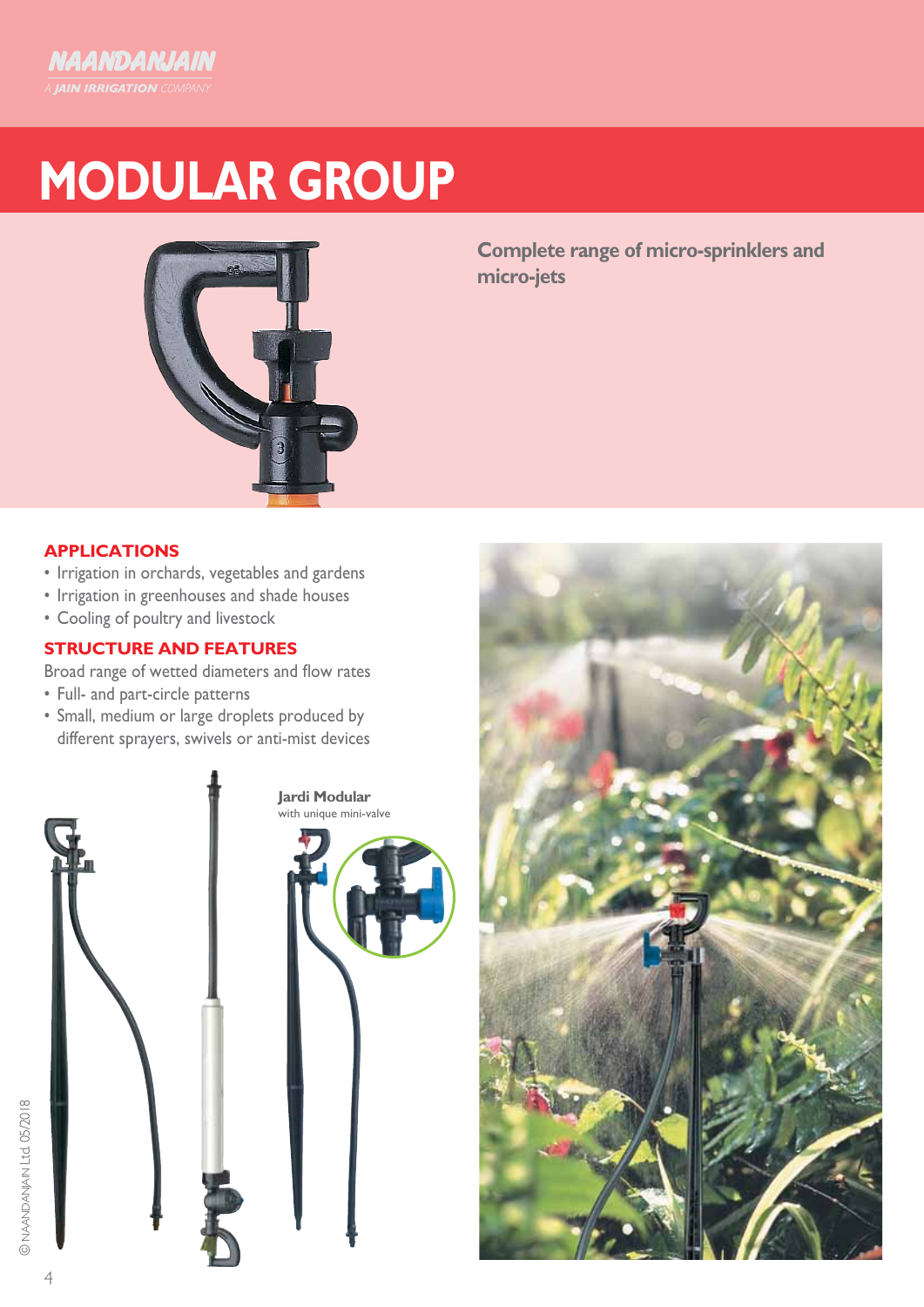# **MODULAR GROUP**



**Complete range of micro-sprinklers and micro-jets**

## **APPLICATIONS**

- Irrigation in orchards, vegetables and gardens
- Irrigation in greenhouses and shade houses
- Cooling of poultry and livestock
- **STRUCTURE AND FEATURES**

Broad range of wetted diameters and flow rates

- Full- and part-circle patterns
- • Small, medium or large droplets produced by different sprayers, swivels or anti-mist devices



**Jardi Modular** with unique mini-valve